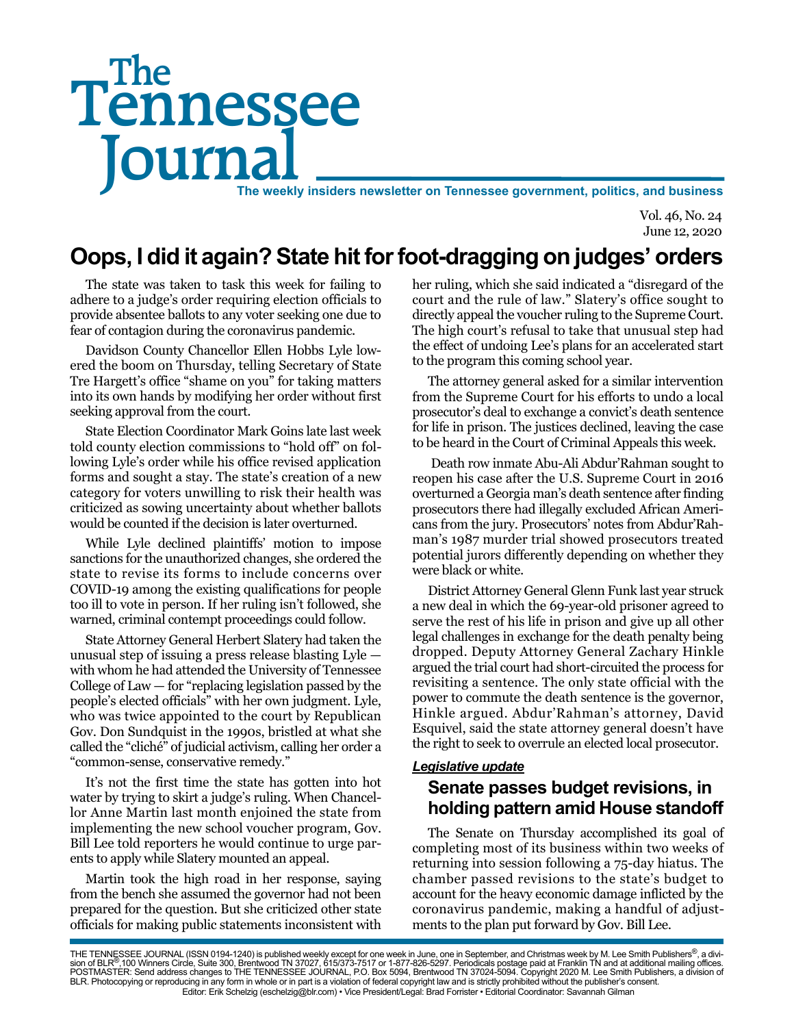# Tennessee Journal **The weekly insiders newsletter on Tennessee government, politics, and business** The

Vol. 46, No. 24 June 12, 2020

## **Oops, I did it again? State hit for foot-dragging on judges' orders**

The state was taken to task this week for failing to adhere to a judge's order requiring election officials to provide absentee ballots to any voter seeking one due to fear of contagion during the coronavirus pandemic.

Davidson County Chancellor Ellen Hobbs Lyle lowered the boom on Thursday, telling Secretary of State Tre Hargett's office "shame on you" for taking matters into its own hands by modifying her order without first seeking approval from the court.

State Election Coordinator Mark Goins late last week told county election commissions to "hold off" on following Lyle's order while his office revised application forms and sought a stay. The state's creation of a new category for voters unwilling to risk their health was criticized as sowing uncertainty about whether ballots would be counted if the decision is later overturned.

While Lyle declined plaintiffs' motion to impose sanctions for the unauthorized changes, she ordered the state to revise its forms to include concerns over COVID-19 among the existing qualifications for people too ill to vote in person. If her ruling isn't followed, she warned, criminal contempt proceedings could follow.

State Attorney General Herbert Slatery had taken the unusual step of issuing a press release blasting Lyle with whom he had attended the University of Tennessee College of Law — for "replacing legislation passed by the people's elected officials" with her own judgment. Lyle, who was twice appointed to the court by Republican Gov. Don Sundquist in the 1990s, bristled at what she called the "cliché" of judicial activism, calling her order a "common-sense, conservative remedy."

It's not the first time the state has gotten into hot water by trying to skirt a judge's ruling. When Chancellor Anne Martin last month enjoined the state from implementing the new school voucher program, Gov. Bill Lee told reporters he would continue to urge parents to apply while Slatery mounted an appeal.

Martin took the high road in her response, saying from the bench she assumed the governor had not been prepared for the question. But she criticized other state officials for making public statements inconsistent with

her ruling, which she said indicated a "disregard of the court and the rule of law." Slatery's office sought to directly appeal the voucher ruling to the Supreme Court. The high court's refusal to take that unusual step had the effect of undoing Lee's plans for an accelerated start to the program this coming school year.

The attorney general asked for a similar intervention from the Supreme Court for his efforts to undo a local prosecutor's deal to exchange a convict's death sentence for life in prison. The justices declined, leaving the case to be heard in the Court of Criminal Appeals this week.

 Death row inmate Abu-Ali Abdur'Rahman sought to reopen his case after the U.S. Supreme Court in 2016 overturned a Georgia man's death sentence after finding prosecutors there had illegally excluded African Americans from the jury. Prosecutors' notes from Abdur'Rahman's 1987 murder trial showed prosecutors treated potential jurors differently depending on whether they were black or white.

District Attorney General Glenn Funk last year struck a new deal in which the 69-year-old prisoner agreed to serve the rest of his life in prison and give up all other legal challenges in exchange for the death penalty being dropped. Deputy Attorney General Zachary Hinkle argued the trial court had short-circuited the process for revisiting a sentence. The only state official with the power to commute the death sentence is the governor, Hinkle argued. Abdur'Rahman's attorney, David Esquivel, said the state attorney general doesn't have the right to seek to overrule an elected local prosecutor.

### *Legislative update*

## **Senate passes budget revisions, in holding pattern amid House standoff**

The Senate on Thursday accomplished its goal of completing most of its business within two weeks of returning into session following a 75-day hiatus. The chamber passed revisions to the state's budget to account for the heavy economic damage inflicted by the coronavirus pandemic, making a handful of adjustments to the plan put forward by Gov. Bill Lee.

THE TENNESSEE JOURNAL (ISSN 0194-1240) is published weekly except for one week in June, one in September, and Christmas week by M. Lee Smith Publishers®, a divi-<br>sion of BLR®,100 Winners Circle, Suite 300, Brentwood TN 370 BLR. Photocopying or reproducing in any form in whole or in part is a violation of federal copyright law and is strictly prohibited without the publisher's consent. Editor: Erik Schelzig (eschelzig@blr.com) • Vice President/Legal: Brad Forrister • Editorial Coordinator: Savannah Gilman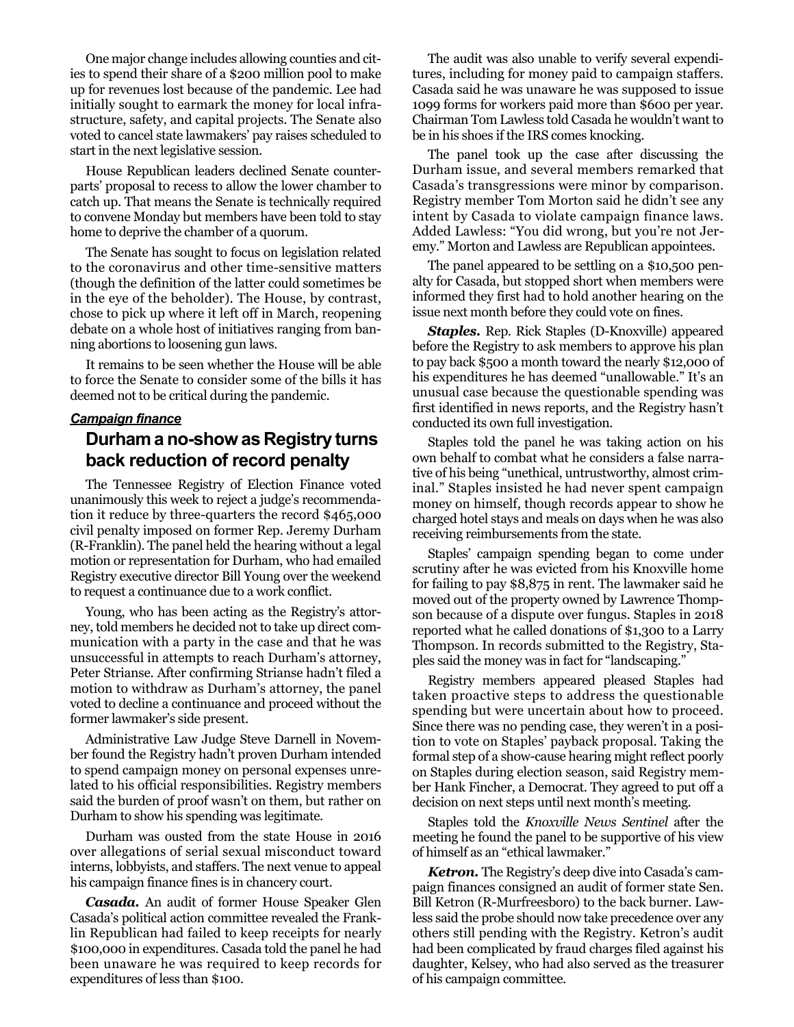One major change includes allowing counties and cities to spend their share of a \$200 million pool to make up for revenues lost because of the pandemic. Lee had initially sought to earmark the money for local infrastructure, safety, and capital projects. The Senate also voted to cancel state lawmakers' pay raises scheduled to start in the next legislative session.

House Republican leaders declined Senate counterparts' proposal to recess to allow the lower chamber to catch up. That means the Senate is technically required to convene Monday but members have been told to stay home to deprive the chamber of a quorum.

The Senate has sought to focus on legislation related to the coronavirus and other time-sensitive matters (though the definition of the latter could sometimes be in the eye of the beholder). The House, by contrast, chose to pick up where it left off in March, reopening debate on a whole host of initiatives ranging from banning abortions to loosening gun laws.

It remains to be seen whether the House will be able to force the Senate to consider some of the bills it has deemed not to be critical during the pandemic.

#### *Campaign finance*

## **Durham a no-show as Registry turns back reduction of record penalty**

The Tennessee Registry of Election Finance voted unanimously this week to reject a judge's recommendation it reduce by three-quarters the record \$465,000 civil penalty imposed on former Rep. Jeremy Durham (R-Franklin). The panel held the hearing without a legal motion or representation for Durham, who had emailed Registry executive director Bill Young over the weekend to request a continuance due to a work conflict.

Young, who has been acting as the Registry's attorney, told members he decided not to take up direct communication with a party in the case and that he was unsuccessful in attempts to reach Durham's attorney, Peter Strianse. After confirming Strianse hadn't filed a motion to withdraw as Durham's attorney, the panel voted to decline a continuance and proceed without the former lawmaker's side present.

Administrative Law Judge Steve Darnell in November found the Registry hadn't proven Durham intended to spend campaign money on personal expenses unrelated to his official responsibilities. Registry members said the burden of proof wasn't on them, but rather on Durham to show his spending was legitimate.

Durham was ousted from the state House in 2016 over allegations of serial sexual misconduct toward interns, lobbyists, and staffers. The next venue to appeal his campaign finance fines is in chancery court.

*Casada.* An audit of former House Speaker Glen Casada's political action committee revealed the Franklin Republican had failed to keep receipts for nearly \$100,000 in expenditures. Casada told the panel he had been unaware he was required to keep records for expenditures of less than \$100.

The audit was also unable to verify several expenditures, including for money paid to campaign staffers. Casada said he was unaware he was supposed to issue 1099 forms for workers paid more than \$600 per year. Chairman Tom Lawless told Casada he wouldn't want to be in his shoes if the IRS comes knocking.

The panel took up the case after discussing the Durham issue, and several members remarked that Casada's transgressions were minor by comparison. Registry member Tom Morton said he didn't see any intent by Casada to violate campaign finance laws. Added Lawless: "You did wrong, but you're not Jeremy." Morton and Lawless are Republican appointees.

The panel appeared to be settling on a \$10,500 penalty for Casada, but stopped short when members were informed they first had to hold another hearing on the issue next month before they could vote on fines.

*Staples.* Rep. Rick Staples (D-Knoxville) appeared before the Registry to ask members to approve his plan to pay back \$500 a month toward the nearly \$12,000 of his expenditures he has deemed "unallowable." It's an unusual case because the questionable spending was first identified in news reports, and the Registry hasn't conducted its own full investigation.

Staples told the panel he was taking action on his own behalf to combat what he considers a false narrative of his being "unethical, untrustworthy, almost criminal." Staples insisted he had never spent campaign money on himself, though records appear to show he charged hotel stays and meals on days when he was also receiving reimbursements from the state.

Staples' campaign spending began to come under scrutiny after he was evicted from his Knoxville home for failing to pay \$8,875 in rent. The lawmaker said he moved out of the property owned by Lawrence Thompson because of a dispute over fungus. Staples in 2018 reported what he called donations of \$1,300 to a Larry Thompson. In records submitted to the Registry, Staples said the money was in fact for "landscaping."

Registry members appeared pleased Staples had taken proactive steps to address the questionable spending but were uncertain about how to proceed. Since there was no pending case, they weren't in a position to vote on Staples' payback proposal. Taking the formal step of a show-cause hearing might reflect poorly on Staples during election season, said Registry member Hank Fincher, a Democrat. They agreed to put off a decision on next steps until next month's meeting.

Staples told the *Knoxville News Sentinel* after the meeting he found the panel to be supportive of his view of himself as an "ethical lawmaker."

*Ketron.* The Registry's deep dive into Casada's campaign finances consigned an audit of former state Sen. Bill Ketron (R-Murfreesboro) to the back burner. Lawless said the probe should now take precedence over any others still pending with the Registry. Ketron's audit had been complicated by fraud charges filed against his daughter, Kelsey, who had also served as the treasurer of his campaign committee.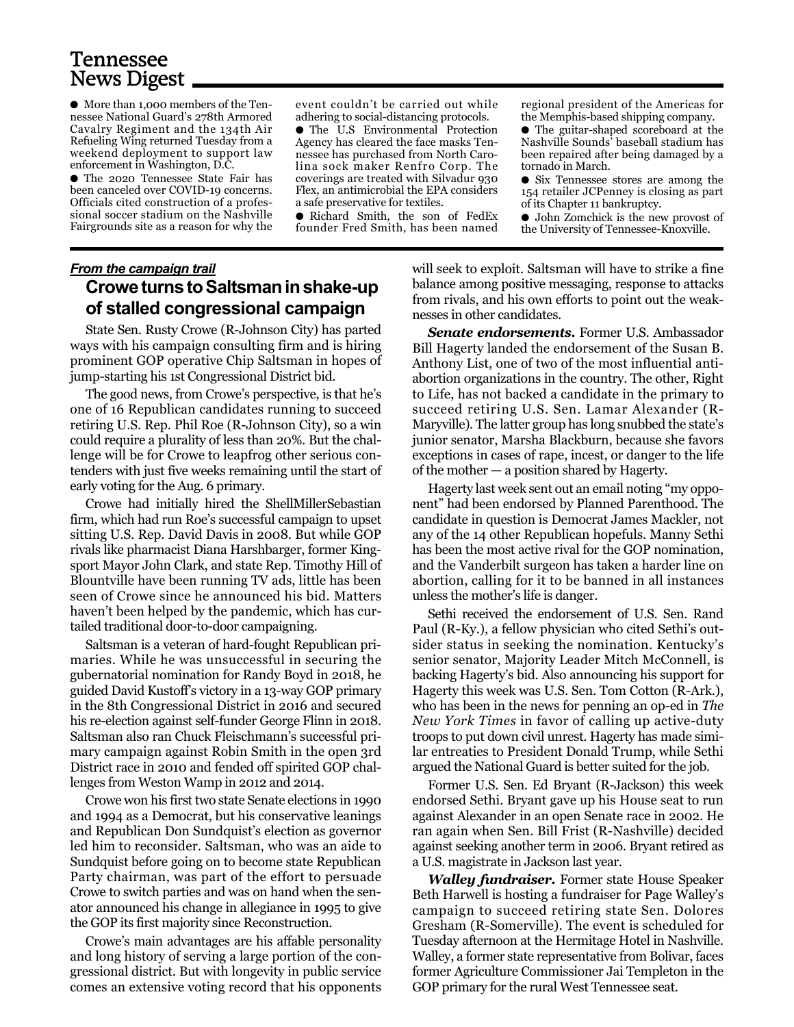## Tennessee News Digest

● More than 1,000 members of the Tennessee National Guard's 278th Armored Cavalry Regiment and the 134th Air Refueling Wing returned Tuesday from a weekend deployment to support law enforcement in Washington, D.C.

● The 2020 Tennessee State Fair has been canceled over COVID-19 concerns. Officials cited construction of a professional soccer stadium on the Nashville Fairgrounds site as a reason for why the

event couldn't be carried out while adhering to social-distancing protocols.

● The U.S Environmental Protection Agency has cleared the face masks Tennessee has purchased from North Carolina sock maker Renfro Corp. The coverings are treated with Silvadur 930 Flex, an antimicrobial the EPA considers a safe preservative for textiles.

● Richard Smith, the son of FedEx founder Fred Smith, has been named

regional president of the Americas for the Memphis-based shipping company.

● The guitar-shaped scoreboard at the Nashville Sounds' baseball stadium has been repaired after being damaged by a tornado in March.

● Six Tennessee stores are among the 154 retailer JCPenney is closing as part of its Chapter 11 bankruptcy.

● John Zomchick is the new provost of the University of Tennessee-Knoxville.

## *From the campaign trail* **Crowe turns to Saltsman in shake-up of stalled congressional campaign**

State Sen. Rusty Crowe (R-Johnson City) has parted ways with his campaign consulting firm and is hiring prominent GOP operative Chip Saltsman in hopes of jump-starting his 1st Congressional District bid.

The good news, from Crowe's perspective, is that he's one of 16 Republican candidates running to succeed retiring U.S. Rep. Phil Roe (R-Johnson City), so a win could require a plurality of less than 20%. But the challenge will be for Crowe to leapfrog other serious contenders with just five weeks remaining until the start of early voting for the Aug. 6 primary.

Crowe had initially hired the ShellMillerSebastian firm, which had run Roe's successful campaign to upset sitting U.S. Rep. David Davis in 2008. But while GOP rivals like pharmacist Diana Harshbarger, former Kingsport Mayor John Clark, and state Rep. Timothy Hill of Blountville have been running TV ads, little has been seen of Crowe since he announced his bid. Matters haven't been helped by the pandemic, which has curtailed traditional door-to-door campaigning.

Saltsman is a veteran of hard-fought Republican primaries. While he was unsuccessful in securing the gubernatorial nomination for Randy Boyd in 2018, he guided David Kustoff's victory in a 13-way GOP primary in the 8th Congressional District in 2016 and secured his re-election against self-funder George Flinn in 2018. Saltsman also ran Chuck Fleischmann's successful primary campaign against Robin Smith in the open 3rd District race in 2010 and fended off spirited GOP challenges from Weston Wamp in 2012 and 2014.

Crowe won his first two state Senate elections in 1990 and 1994 as a Democrat, but his conservative leanings and Republican Don Sundquist's election as governor led him to reconsider. Saltsman, who was an aide to Sundquist before going on to become state Republican Party chairman, was part of the effort to persuade Crowe to switch parties and was on hand when the senator announced his change in allegiance in 1995 to give the GOP its first majority since Reconstruction.

Crowe's main advantages are his affable personality and long history of serving a large portion of the congressional district. But with longevity in public service comes an extensive voting record that his opponents will seek to exploit. Saltsman will have to strike a fine balance among positive messaging, response to attacks from rivals, and his own efforts to point out the weaknesses in other candidates.

*Senate endorsements.* Former U.S. Ambassador Bill Hagerty landed the endorsement of the Susan B. Anthony List, one of two of the most influential antiabortion organizations in the country. The other, Right to Life, has not backed a candidate in the primary to succeed retiring U.S. Sen. Lamar Alexander (R-Maryville). The latter group has long snubbed the state's junior senator, Marsha Blackburn, because she favors exceptions in cases of rape, incest, or danger to the life of the mother — a position shared by Hagerty.

Hagerty last week sent out an email noting "my opponent" had been endorsed by Planned Parenthood. The candidate in question is Democrat James Mackler, not any of the 14 other Republican hopefuls. Manny Sethi has been the most active rival for the GOP nomination, and the Vanderbilt surgeon has taken a harder line on abortion, calling for it to be banned in all instances unless the mother's life is danger.

Sethi received the endorsement of U.S. Sen. Rand Paul (R-Ky.), a fellow physician who cited Sethi's outsider status in seeking the nomination. Kentucky's senior senator, Majority Leader Mitch McConnell, is backing Hagerty's bid. Also announcing his support for Hagerty this week was U.S. Sen. Tom Cotton (R-Ark.), who has been in the news for penning an op-ed in *The New York Times* in favor of calling up active-duty troops to put down civil unrest. Hagerty has made similar entreaties to President Donald Trump, while Sethi argued the National Guard is better suited for the job.

Former U.S. Sen. Ed Bryant (R-Jackson) this week endorsed Sethi. Bryant gave up his House seat to run against Alexander in an open Senate race in 2002. He ran again when Sen. Bill Frist (R-Nashville) decided against seeking another term in 2006. Bryant retired as a U.S. magistrate in Jackson last year.

*Walley fundraiser.* Former state House Speaker Beth Harwell is hosting a fundraiser for Page Walley's campaign to succeed retiring state Sen. Dolores Gresham (R-Somerville). The event is scheduled for Tuesday afternoon at the Hermitage Hotel in Nashville. Walley, a former state representative from Bolivar, faces former Agriculture Commissioner Jai Templeton in the GOP primary for the rural West Tennessee seat.